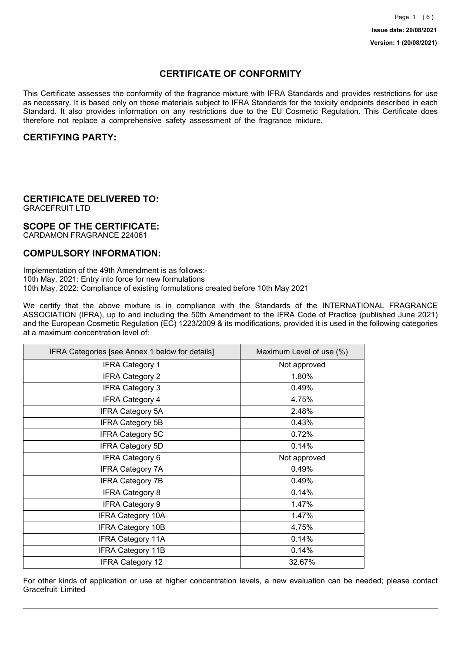## **CERTIFICATE OF CONFORMITY**

This Certificate assesses the conformity of the fragrance mixture with IFRA Standards and provides restrictions for use as necessary. It is based only on those materials subject to IFRA Standards for the toxicity endpoints described in each Standard. It also provides information on any restrictions due to the EU Cosmetic Regulation. This Certificate does therefore not replace a comprehensive safety assessment of the fragrance mixture.

### **CERTIFYING PARTY:**

## **CERTIFICATE DELIVERED TO:**

GRACEFRUIT LTD

### **SCOPE OF THE CERTIFICATE:**

CARDAMON FRAGRANCE 224061

### **COMPULSORY INFORMATION:**

Implementation of the 49th Amendment is as follows:- 10th May, 2021: Entry into force for new formulations 10th May, 2022: Compliance of existing formulations created before 10th May 2021

We certify that the above mixture is in compliance with the Standards of the INTERNATIONAL FRAGRANCE ASSOCIATION (IFRA), up to and including the 50th Amendment to the IFRA Code of Practice (published June 2021) and the European Cosmetic Regulation (EC) 1223/2009 & its modifications, provided it is used in the following categories at a maximum concentration level of:

| IFRA Categories [see Annex 1 below for details] | Maximum Level of use (%) |
|-------------------------------------------------|--------------------------|
| <b>IFRA Category 1</b>                          | Not approved             |
| <b>IFRA Category 2</b>                          | 1.80%                    |
| <b>IFRA Category 3</b>                          | 0.49%                    |
| <b>IFRA Category 4</b>                          | 4.75%                    |
| <b>IFRA Category 5A</b>                         | 2.48%                    |
| <b>IFRA Category 5B</b>                         | 0.43%                    |
| <b>IFRA Category 5C</b>                         | 0.72%                    |
| <b>IFRA Category 5D</b>                         | 0.14%                    |
| <b>IFRA Category 6</b>                          | Not approved             |
| <b>IFRA Category 7A</b>                         | 0.49%                    |
| <b>IFRA Category 7B</b>                         | 0.49%                    |
| <b>IFRA Category 8</b>                          | 0.14%                    |
| <b>IFRA Category 9</b>                          | 1.47%                    |
| <b>IFRA Category 10A</b>                        | 1.47%                    |
| <b>IFRA Category 10B</b>                        | 4.75%                    |
| <b>IFRA Category 11A</b>                        | 0.14%                    |
| <b>IFRA Category 11B</b>                        | 0.14%                    |
| <b>IFRA Category 12</b>                         | 32.67%                   |

For other kinds of application or use at higher concentration levels, a new evaluation can be needed; please contact Gracefruit Limited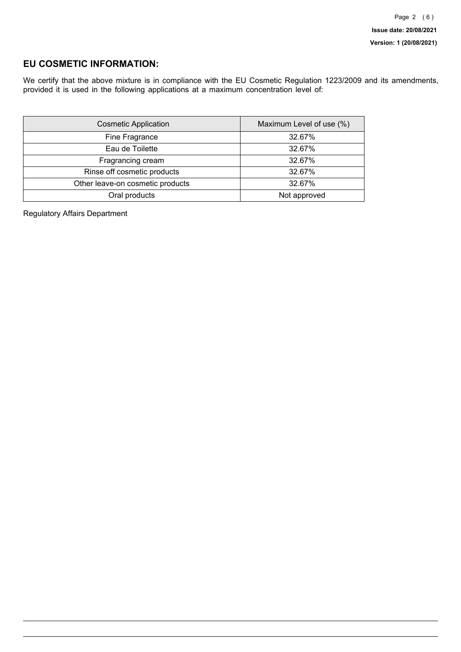### **EU COSMETIC INFORMATION:**

We certify that the above mixture is in compliance with the EU Cosmetic Regulation 1223/2009 and its amendments, provided it is used in the following applications at a maximum concentration level of:

| <b>Cosmetic Application</b>      | Maximum Level of use (%) |
|----------------------------------|--------------------------|
| Fine Fragrance                   | 32.67%                   |
| Eau de Toilette                  | 32.67%                   |
| Fragrancing cream                | 32.67%                   |
| Rinse off cosmetic products      | 32.67%                   |
| Other leave-on cosmetic products | 32.67%                   |
| Oral products                    | Not approved             |

Regulatory Affairs Department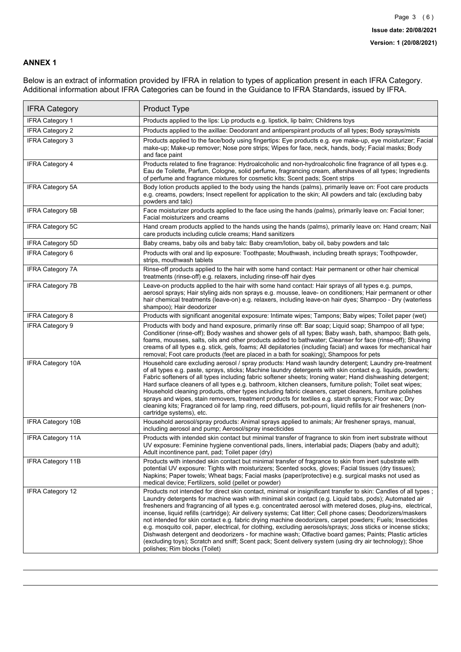### **ANNEX 1**

Below is an extract of information provided by IFRA in relation to types of application present in each IFRA Category. Additional information about IFRA Categories can be found in the Guidance to IFRA Standards, issued by IFRA.

| <b>IFRA Category</b>     | Product Type                                                                                                                                                                                                                                                                                                                                                                                                                                                                                                                                                                                                                                                                                                                                                                                                                                                                                                                                 |
|--------------------------|----------------------------------------------------------------------------------------------------------------------------------------------------------------------------------------------------------------------------------------------------------------------------------------------------------------------------------------------------------------------------------------------------------------------------------------------------------------------------------------------------------------------------------------------------------------------------------------------------------------------------------------------------------------------------------------------------------------------------------------------------------------------------------------------------------------------------------------------------------------------------------------------------------------------------------------------|
| IFRA Category 1          | Products applied to the lips: Lip products e.g. lipstick, lip balm; Childrens toys                                                                                                                                                                                                                                                                                                                                                                                                                                                                                                                                                                                                                                                                                                                                                                                                                                                           |
| <b>IFRA Category 2</b>   | Products applied to the axillae: Deodorant and antiperspirant products of all types; Body sprays/mists                                                                                                                                                                                                                                                                                                                                                                                                                                                                                                                                                                                                                                                                                                                                                                                                                                       |
| <b>IFRA Category 3</b>   | Products applied to the face/body using fingertips: Eye products e.g. eye make-up, eye moisturizer; Facial<br>make-up; Make-up remover; Nose pore strips; Wipes for face, neck, hands, body; Facial masks; Body<br>and face paint                                                                                                                                                                                                                                                                                                                                                                                                                                                                                                                                                                                                                                                                                                            |
| <b>IFRA Category 4</b>   | Products related to fine fragrance: Hydroalcoholic and non-hydroalcoholic fine fragrance of all types e.g.<br>Eau de Toilette, Parfum, Cologne, solid perfume, fragrancing cream, aftershaves of all types; Ingredients<br>of perfume and fragrance mixtures for cosmetic kits; Scent pads; Scent strips                                                                                                                                                                                                                                                                                                                                                                                                                                                                                                                                                                                                                                     |
| <b>IFRA Category 5A</b>  | Body lotion products applied to the body using the hands (palms), primarily leave on: Foot care products<br>e.g. creams, powders; Insect repellent for application to the skin; All powders and talc (excluding baby<br>powders and talc)                                                                                                                                                                                                                                                                                                                                                                                                                                                                                                                                                                                                                                                                                                    |
| IFRA Category 5B         | Face moisturizer products applied to the face using the hands (palms), primarily leave on: Facial toner;<br>Facial moisturizers and creams                                                                                                                                                                                                                                                                                                                                                                                                                                                                                                                                                                                                                                                                                                                                                                                                   |
| <b>IFRA Category 5C</b>  | Hand cream products applied to the hands using the hands (palms), primarily leave on: Hand cream; Nail<br>care products including cuticle creams; Hand sanitizers                                                                                                                                                                                                                                                                                                                                                                                                                                                                                                                                                                                                                                                                                                                                                                            |
| <b>IFRA Category 5D</b>  | Baby creams, baby oils and baby talc: Baby cream/lotion, baby oil, baby powders and talc                                                                                                                                                                                                                                                                                                                                                                                                                                                                                                                                                                                                                                                                                                                                                                                                                                                     |
| IFRA Category 6          | Products with oral and lip exposure: Toothpaste; Mouthwash, including breath sprays; Toothpowder,<br>strips, mouthwash tablets                                                                                                                                                                                                                                                                                                                                                                                                                                                                                                                                                                                                                                                                                                                                                                                                               |
| <b>IFRA Category 7A</b>  | Rinse-off products applied to the hair with some hand contact: Hair permanent or other hair chemical<br>treatments (rinse-off) e.g. relaxers, including rinse-off hair dyes                                                                                                                                                                                                                                                                                                                                                                                                                                                                                                                                                                                                                                                                                                                                                                  |
| <b>IFRA Category 7B</b>  | Leave-on products applied to the hair with some hand contact: Hair sprays of all types e.g. pumps,<br>aerosol sprays; Hair styling aids non sprays e.g. mousse, leave- on conditioners; Hair permanent or other<br>hair chemical treatments (leave-on) e.g. relaxers, including leave-on hair dyes; Shampoo - Dry (waterless<br>shampoo); Hair deodorizer                                                                                                                                                                                                                                                                                                                                                                                                                                                                                                                                                                                    |
| <b>IFRA Category 8</b>   | Products with significant anogenital exposure: Intimate wipes; Tampons; Baby wipes; Toilet paper (wet)                                                                                                                                                                                                                                                                                                                                                                                                                                                                                                                                                                                                                                                                                                                                                                                                                                       |
| IFRA Category 9          | Products with body and hand exposure, primarily rinse off: Bar soap; Liquid soap; Shampoo of all type;<br>Conditioner (rinse-off); Body washes and shower gels of all types; Baby wash, bath, shampoo; Bath gels,<br>foams, mousses, salts, oils and other products added to bathwater; Cleanser for face (rinse-off); Shaving<br>creams of all types e.g. stick, gels, foams; All depilatories (including facial) and waxes for mechanical hair<br>removal; Foot care products (feet are placed in a bath for soaking); Shampoos for pets                                                                                                                                                                                                                                                                                                                                                                                                   |
| <b>IFRA Category 10A</b> | Household care excluding aerosol / spray products: Hand wash laundry detergent; Laundry pre-treatment<br>of all types e.g. paste, sprays, sticks; Machine laundry detergents with skin contact e.g. liquids, powders;<br>Fabric softeners of all types including fabric softener sheets; Ironing water; Hand dishwashing detergent;<br>Hard surface cleaners of all types e.g. bathroom, kitchen cleansers, furniture polish; Toilet seat wipes;<br>Household cleaning products, other types including fabric cleaners, carpet cleaners, furniture polishes<br>sprays and wipes, stain removers, treatment products for textiles e.g. starch sprays; Floor wax; Dry<br>cleaning kits; Fragranced oil for lamp ring, reed diffusers, pot-pourri, liquid refills for air fresheners (non-<br>cartridge systems), etc.                                                                                                                          |
| <b>IFRA Category 10B</b> | Household aerosol/spray products: Animal sprays applied to animals; Air freshener sprays, manual,<br>including aerosol and pump; Aerosol/spray insecticides                                                                                                                                                                                                                                                                                                                                                                                                                                                                                                                                                                                                                                                                                                                                                                                  |
| <b>IFRA Category 11A</b> | Products with intended skin contact but minimal transfer of fragrance to skin from inert substrate without<br>UV exposure: Feminine hygiene conventional pads, liners, interlabial pads; Diapers (baby and adult);<br>Adult incontinence pant, pad; Toilet paper (dry)                                                                                                                                                                                                                                                                                                                                                                                                                                                                                                                                                                                                                                                                       |
| <b>IFRA Category 11B</b> | Products with intended skin contact but minimal transfer of fragrance to skin from inert substrate with<br>potential UV exposure: Tights with moisturizers; Scented socks, gloves; Facial tissues (dry tissues);<br>Napkins; Paper towels; Wheat bags; Facial masks (paper/protective) e.g. surgical masks not used as<br>medical device; Fertilizers, solid (pellet or powder)                                                                                                                                                                                                                                                                                                                                                                                                                                                                                                                                                              |
| <b>IFRA Category 12</b>  | Products not intended for direct skin contact, minimal or insignificant transfer to skin: Candles of all types;<br>Laundry detergents for machine wash with minimal skin contact (e.g. Liquid tabs, pods); Automated air<br>fresheners and fragrancing of all types e.g. concentrated aerosol with metered doses, plug-ins, electrical,<br>incense, liquid refills (cartridge); Air delivery systems; Cat litter; Cell phone cases; Deodorizers/maskers<br>not intended for skin contact e.g. fabric drying machine deodorizers, carpet powders; Fuels; Insecticides<br>e.g. mosquito coil, paper, electrical, for clothing, excluding aerosols/sprays; Joss sticks or incense sticks;<br>Dishwash detergent and deodorizers - for machine wash; Olfactive board games; Paints; Plastic articles<br>(excluding toys); Scratch and sniff; Scent pack; Scent delivery system (using dry air technology); Shoe<br>polishes; Rim blocks (Toilet) |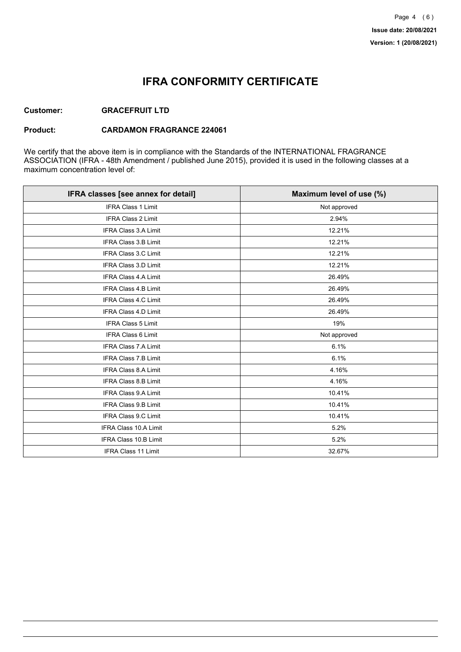## **IFRA CONFORMITY CERTIFICATE**

### **Customer: GRACEFRUIT LTD**

#### **Product: CARDAMON FRAGRANCE 224061**

We certify that the above item is in compliance with the Standards of the INTERNATIONAL FRAGRANCE ASSOCIATION (IFRA - 48th Amendment / published June 2015), provided it is used in the following classes at a maximum concentration level of:

| IFRA classes [see annex for detail] | Maximum level of use (%) |
|-------------------------------------|--------------------------|
| <b>IFRA Class 1 Limit</b>           | Not approved             |
| IFRA Class 2 Limit                  | 2.94%                    |
| <b>IFRA Class 3.A Limit</b>         | 12.21%                   |
| <b>IFRA Class 3.B Limit</b>         | 12.21%                   |
| IFRA Class 3.C Limit                | 12.21%                   |
| IFRA Class 3.D Limit                | 12.21%                   |
| <b>IFRA Class 4.A Limit</b>         | 26.49%                   |
| <b>IFRA Class 4.B Limit</b>         | 26.49%                   |
| <b>IFRA Class 4.C Limit</b>         | 26.49%                   |
| IFRA Class 4.D Limit                | 26.49%                   |
| <b>IFRA Class 5 Limit</b>           | 19%                      |
| <b>IFRA Class 6 Limit</b>           | Not approved             |
| <b>IFRA Class 7.A Limit</b>         | 6.1%                     |
| <b>IFRA Class 7.B Limit</b>         | 6.1%                     |
| IFRA Class 8.A Limit                | 4.16%                    |
| IFRA Class 8.B Limit                | 4.16%                    |
| <b>IFRA Class 9.A Limit</b>         | 10.41%                   |
| <b>IFRA Class 9.B Limit</b>         | 10.41%                   |
| IFRA Class 9.C Limit                | 10.41%                   |
| IFRA Class 10.A Limit               | 5.2%                     |
| <b>IFRA Class 10.B Limit</b>        | 5.2%                     |
| <b>IFRA Class 11 Limit</b>          | 32.67%                   |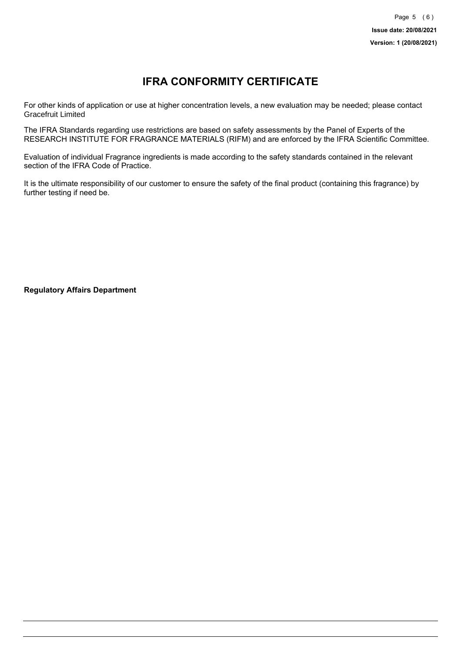# **IFRA CONFORMITY CERTIFICATE**

For other kinds of application or use at higher concentration levels, a new evaluation may be needed; please contact Gracefruit Limited

The IFRA Standards regarding use restrictions are based on safety assessments by the Panel of Experts of the RESEARCH INSTITUTE FOR FRAGRANCE MATERIALS (RIFM) and are enforced by the IFRA Scientific Committee.

Evaluation of individual Fragrance ingredients is made according to the safety standards contained in the relevant section of the IFRA Code of Practice.

It is the ultimate responsibility of our customer to ensure the safety of the final product (containing this fragrance) by further testing if need be.

**Regulatory Affairs Department**